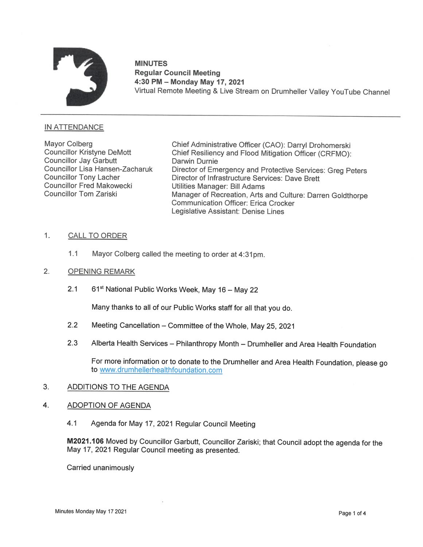

# MINUTES Regular Council Meeting 4:30 PM — Monday May 17, 2021 MINUTES<br>"Regular Council Meeting<br>4:30 PM – Monday May 17, 2021<br>Virtual Remote Meeting & Live Stream on Drumheller Valley YouTube Channel

## INATTENDANCE

Councillor Jay Garbutt Darwin Durnie Councillor Fred Makowecki UtilitiesManager: BillAdams

Mayor Colberg Chief Administrative Officer (CAO): Darryl Drohomerski<br>Councillor Kristyne DeMott Chief Resiliency and Flood Mitigation Officer (CRFMO) Chief Resiliency and Flood Mitigation Officer (CRFMO): Councillor Lisa Hansen-Zacharuk Director of Emergency and Protective Services: Greg Peters<br>Councillor Tony Lacher Director of Infrastructure Services: Dave Brett Councillor Tony Lacher **Director of Infrastructure Services: Dave Brett**<br>Councillor Fred Makowecki Utilities Manager: Bill Adams Manager of Recreation, Arts and Culture: Darren Goldthorpe Communication Officer: Erica Crocker Legislative Assistant: Denise Lines

## 1. CALL TO ORDER

1.1 Mayor Colberg called the meeting to order at 4:31 pm.

#### 2. OPENING REMARK

2.1 61<sup>st</sup> National Public Works Week, May 16 – May 22

Many thanks to all of our Public Works staff for all that you do.

- 2.2 Meeting Cancellation Committee of the Whole, May 25, 2021
- 2.3 Alberta Health Services Philanthropy Month Drumheller and Area Health Foundation

to www.drumhellerhealthfoundation.com For more information or to donate to the Drumheller and Area Health Foundation, please go

## 3. ADDITIONS TO THE AGENDA

#### 4. ADOPTION OF AGENDA

4.1 Agenda for May 17, 2021 Regular Council Meeting

M2021.106 Moved by Councillor Garbutt, Councillor Zariski; that Council adopt the agenda for the May 17, 2021 Regular Council meeting as presented.

Carried unanimously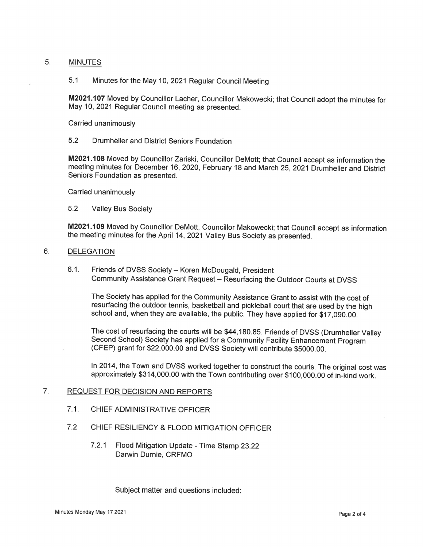#### 5. MINUTES

## 5.1 Minutes for the May 10, 2021 Regular Council Meeting

M2021.107 Moved by Councillor Lacher, Councillor Makowecki; that Council adopt the minutes for May 10, 2021 Regular Council meeting as presented.

Carried unanimously

## 5.2 Drumheller and District Seniors Foundation

M2021.108 Moved by Councillor Zariski, Councillor DeMott; that Council accept as information the meeting minutes for December 16, 2020, February 18 and March 25, 2021 Drumheller and District Seniors Foundation as presented.

Carried unanimously

5.2 Valley Bus Society

M2021.109 Moved by Councillor DeMott, Councillor Makowecki; that Council accept as information the meeting minutes for the April 14, 2021 Valley Bus Society as presented.

#### 6. DELEGATION

6.1. Friends of DVSS Society - Koren McDougald, President Community Assistance Grant Request — Resurfacing the Outdoor Courts at DVSS

The Society has applied for the Community Assistance Grant to assist with the cost of resurfacing the outdoor tennis, basketball and pickleball court that are used by the high school and, when they are available, the public. They have applied for \$17,090.00.

The cost of resurfacing the courts will be \$44,180.85. Friends of DVSS (Drumheller Valley Second School) Society has applied for <sup>a</sup> Community Facility Enhancement Program (CFEP) grant for \$22,000.00 and DVSS Society will contribute \$5000.00.

In 2014, the Town and DVSS worked together to construct the courts. The original cost was approximately \$314,000.00 with the Town contributing over \$100,000.00 of in-kind work.

### 7. REQUEST FOR DECISION AND REPORTS

- 7.1. CHIEF ADMINISTRATIVE OFFICER
- 7.2 CHIEF RESILIENCY & FLOOD MITIGATION OFFICER
	- 7.2.1 Flood Mitigation Update Time Stamp 23.22 Darwin Durnie, CRFMO

Subject matter and questions included: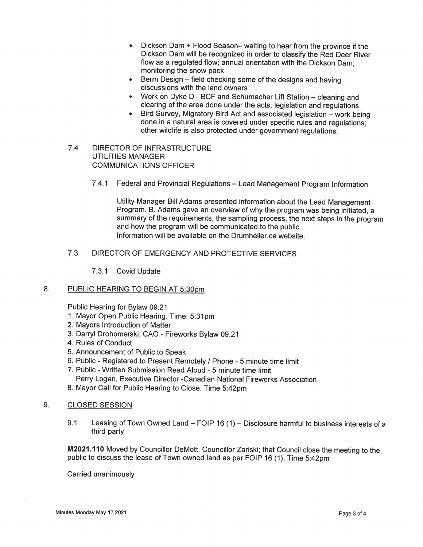- Dickson Dam + Flood Season– waiting to hear from the province if the Dickson Dam will be recognized in order to classify the Red Deer River flow as a regulated flow; annual orientation with the Dickson Dam; monitoring the snow pack
- Berm Design field checking some of the designs and having discussions with the land owners
- Work on Dyke D BCF and Schumacher Lift Station cleaning and clearing of the area done under the acts, legislation and regulations
- Bird Survey, Migratory Bird Act and associated legislation work being done in a natural area is covered under specific rules and regulations; other wildlife is also protected under government regulations.
- 7.4 DIRECTOR OF INFRASTRUCTURE UTILITIES MANAGER COMMUNICATIONS OFFICER
	- 7.4.1 Federal and Provincial Regulations Lead Management Program Information

Utility Manager Bill Adams presented information about the Lead Management Program. B. Adams gave an overview of why the program was being initiated, a summary of the requirements, the sampling process, the next steps in the program and how the program will be communicated to the public. Information will be available on the Drumheller.ca website.

## 7.3 DIRECTOR OF EMERGENCY AND PROTECTIVE SERVICES

7.3.1 Covid Update

#### $8<sub>1</sub>$ PUBLIC HEARING TO BEGIN AT 5:30pm

Public Hearing for Bylaw 09.21

- 1. Mayor Open Public Hearing. Time: 5:31pm
- 2. Mayors Introduction of Matter
- 3. Darryl Drohomerski, CAO Fireworks Bylaw 09.21
- 4. Rules of Conduct
- 5. Announcement of Public to Speak
- 6. Public Registered to Present Remotely / Phone 5 minute time limit
- 7. Public Written Submission Read Aloud 5 minute time limit Perry Logan, Executive Director -Canadian National Fireworks Association
- 8. Mayor Call for Public Hearing to Close. Time 5:42pm

#### 9. CLOSED SESSION

9.1 Leasing of Town Owned Land - FOIP 16 (1) - Disclosure harmful to business interests of a third party

M2021.110 Moved by Councillor DeMott, Councillor Zariski; that Council close the meeting to the public to discuss the lease of Town owned land as per FOIP 16 (1). Time 5:42pm

Carried unanimously